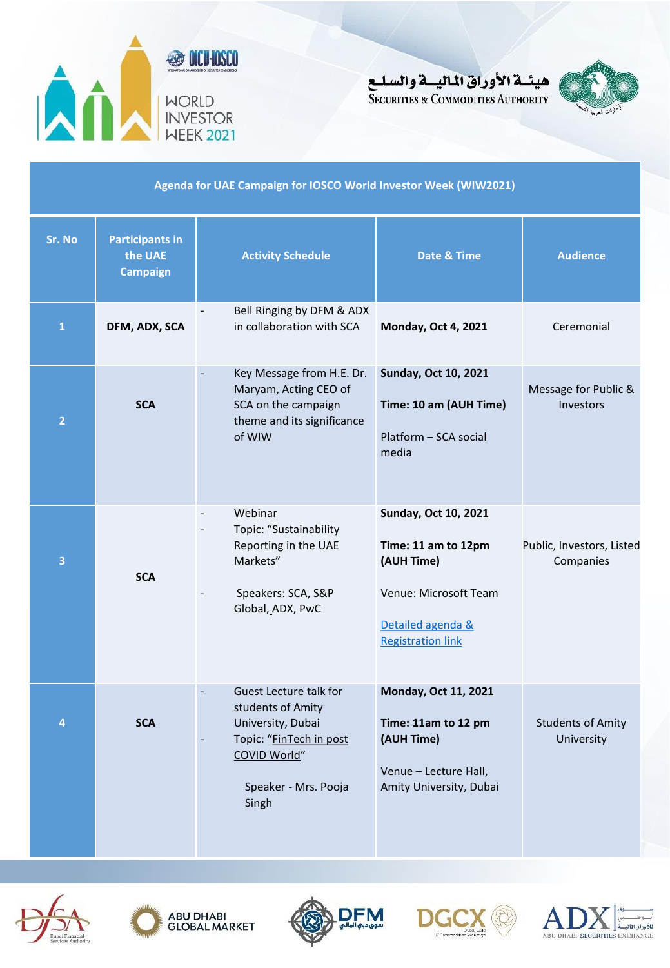





#### **Agenda for UAE Campaign for IOSCO World Investor Week (WIW2021)**

| Sr. No         | <b>Participants in</b><br>the UAE<br><b>Campaign</b> | <b>Activity Schedule</b>                                                                                                                               | Date & Time                                                                                                                                | <b>Audience</b>                          |
|----------------|------------------------------------------------------|--------------------------------------------------------------------------------------------------------------------------------------------------------|--------------------------------------------------------------------------------------------------------------------------------------------|------------------------------------------|
| 1              | DFM, ADX, SCA                                        | Bell Ringing by DFM & ADX<br>in collaboration with SCA                                                                                                 | <b>Monday, Oct 4, 2021</b>                                                                                                                 | Ceremonial                               |
| $\overline{2}$ | <b>SCA</b>                                           | Key Message from H.E. Dr.<br>$\Box$<br>Maryam, Acting CEO of<br>SCA on the campaign<br>theme and its significance<br>of WIW                            | <b>Sunday, Oct 10, 2021</b><br>Time: 10 am (AUH Time)<br>Platform - SCA social<br>media                                                    | Message for Public &<br><b>Investors</b> |
| 3              | <b>SCA</b>                                           | Webinar<br>$\overline{\phantom{a}}$<br>Topic: "Sustainability<br>Reporting in the UAE<br>Markets"<br>Speakers: SCA, S&P<br>Global, ADX, PwC            | <b>Sunday, Oct 10, 2021</b><br>Time: 11 am to 12pm<br>(AUH Time)<br>Venue: Microsoft Team<br>Detailed agenda &<br><b>Registration link</b> | Public, Investors, Listed<br>Companies   |
| 4              | <b>SCA</b>                                           | Guest Lecture talk for<br>$\Box$<br>students of Amity<br>University, Dubai<br>Topic: "FinTech in post<br>COVID World"<br>Speaker - Mrs. Pooja<br>Singh | Monday, Oct 11, 2021<br>Time: 11am to 12 pm<br>(AUH Time)<br>Venue - Lecture Hall,<br>Amity University, Dubai                              | <b>Students of Amity</b><br>University   |









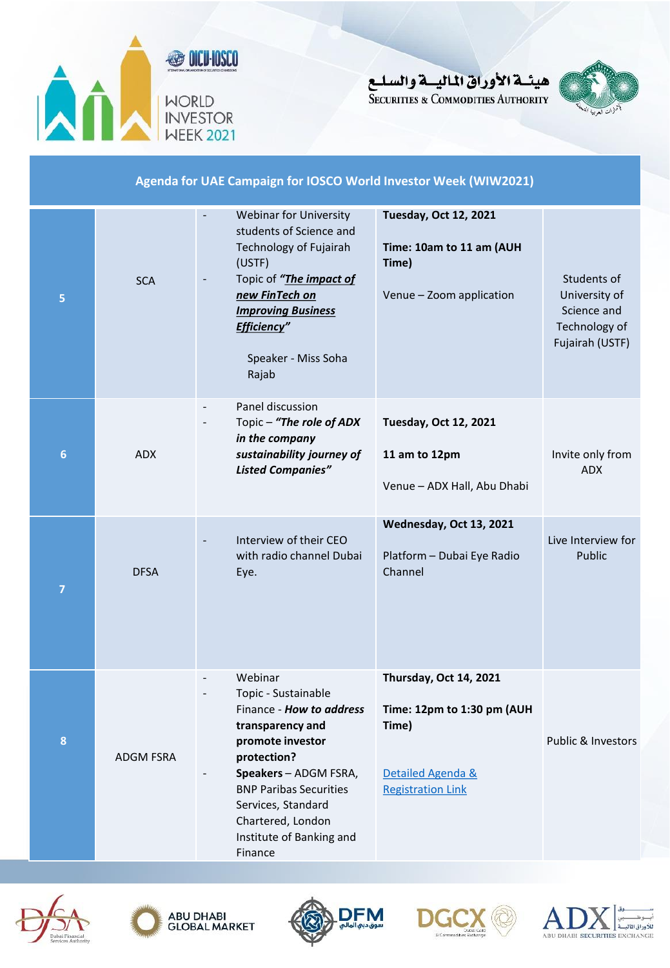

هيئسة الأوراق الماليسة والسليع **SECURITIES & COMMODITIES AUTHORITY** 



#### **Agenda for UAE Campaign for IOSCO World Investor Week (WIW2021) 5 SCA** Webinar for University students of Science and Technology of Fujairah (USTF) - Topic of *"The impact of new FinTech on Improving Business Efficiency"* Speaker - Miss Soha Rajab **Tuesday, Oct 12, 2021 Time: 10am to 11 am (AUH Time)** Venue – Zoom application Students of University of Science and Technology of Fujairah (USTF) **6** ADX Panel discussion Topic – "The role of ADX *in the company sustainability journey of Listed Companies"* **Tuesday, Oct 12, 2021 11 am to 12pm** Venue – ADX Hall, Abu Dhabi Invite only from ADX **7**  DFSA Interview of their CEO with radio channel Dubai Eye. **Wednesday, Oct 13, 2021** Platform – Dubai Eye Radio Channel Live Interview for Public **8** ADGM FSRA **Webinar** - Topic - Sustainable Finance - *How to address* **transparency and promote investor protection?** - **Speakers** – ADGM FSRA, BNP Paribas Securities Services, Standard Chartered, London Institute of Banking and **Thursday, Oct 14, 2021 Time: 12pm to 1:30 pm (AUH Time)** [Detailed Agenda &](#page-3-0)  Registration Link Public & Investors





Finance





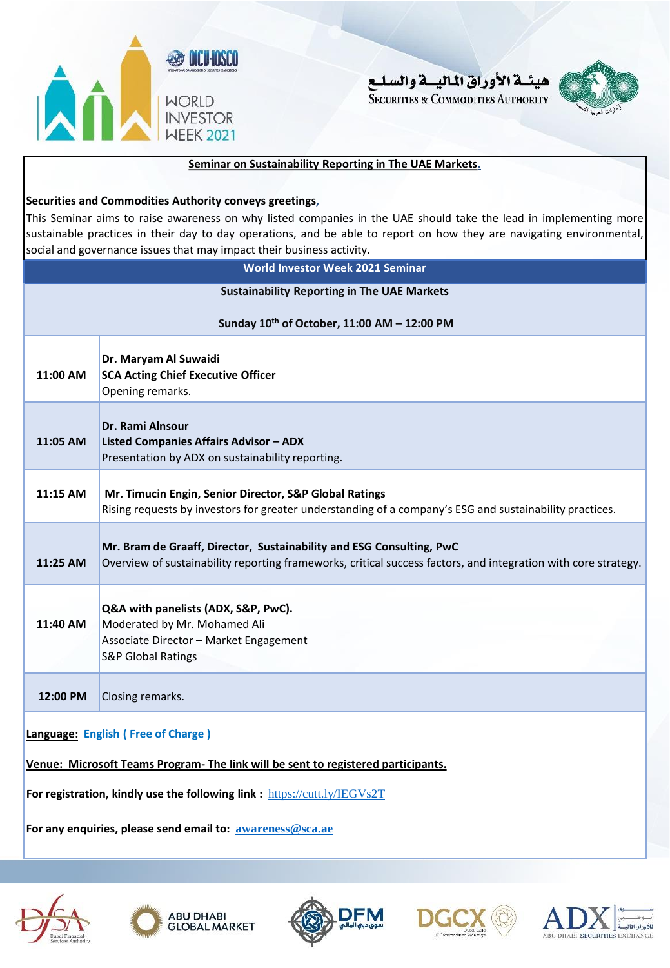





#### **Seminar on Sustainability Reporting in The UAE Markets.**

#### **Securities and Commodities Authority conveys greetings,**

This Seminar aims to raise awareness on why listed companies in the UAE should take the lead in implementing more sustainable practices in their day to day operations, and be able to report on how they are navigating environmental, social and governance issues that may impact their business activity.

| <b>World Investor Week 2021 Seminar</b>            |                                                                                                                                                                                        |  |  |  |
|----------------------------------------------------|----------------------------------------------------------------------------------------------------------------------------------------------------------------------------------------|--|--|--|
| <b>Sustainability Reporting in The UAE Markets</b> |                                                                                                                                                                                        |  |  |  |
| Sunday 10th of October, 11:00 AM - 12:00 PM        |                                                                                                                                                                                        |  |  |  |
| 11:00 AM                                           | Dr. Maryam Al Suwaidi<br><b>SCA Acting Chief Executive Officer</b><br>Opening remarks.                                                                                                 |  |  |  |
| 11:05 AM                                           | Dr. Rami Alnsour<br><b>Listed Companies Affairs Advisor - ADX</b><br>Presentation by ADX on sustainability reporting.                                                                  |  |  |  |
| 11:15 AM                                           | Mr. Timucin Engin, Senior Director, S&P Global Ratings<br>Rising requests by investors for greater understanding of a company's ESG and sustainability practices.                      |  |  |  |
| 11:25 AM                                           | Mr. Bram de Graaff, Director, Sustainability and ESG Consulting, PwC<br>Overview of sustainability reporting frameworks, critical success factors, and integration with core strategy. |  |  |  |
| 11:40 AM                                           | Q&A with panelists (ADX, S&P, PwC).<br>Moderated by Mr. Mohamed Ali<br>Associate Director - Market Engagement<br><b>S&amp;P Global Ratings</b>                                         |  |  |  |
| 12:00 PM                                           | Closing remarks.                                                                                                                                                                       |  |  |  |
|                                                    | Language: English (Free of Charge)                                                                                                                                                     |  |  |  |

**Venue: Microsoft Teams Program- The link will be sent to registered participants.**

**For registration, kindly use the following link :** <https://cutt.ly/IEGVs2T>

**For any enquiries, please send email to: [awareness@sca.ae](mailto:awareness@sca.ae)**

<span id="page-2-0"></span>